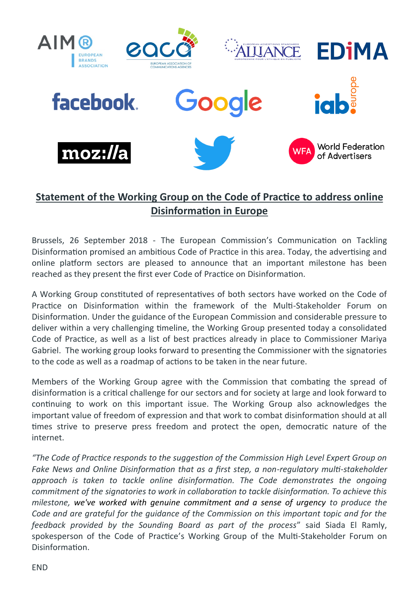

## **Statement of the Working Group on the Code of Practice to address online Disinformation in Europe**

Brussels, 26 September 2018 - The European Commission's Communication on Tackling Disinformation promised an ambitious Code of Practice in this area. Today, the advertising and online platform sectors are pleased to announce that an important milestone has been reached as they present the first ever Code of Practice on Disinformation.

A Working Group constituted of representatives of both sectors have worked on the Code of Practice on Disinformation within the framework of the Multi-Stakeholder Forum on Disinformation. Under the guidance of the European Commission and considerable pressure to deliver within a very challenging timeline, the Working Group presented today a consolidated Code of Practice, as well as a list of best practices already in place to Commissioner Mariya Gabriel. The working group looks forward to presenting the Commissioner with the signatories to the code as well as a roadmap of actions to be taken in the near future.

Members of the Working Group agree with the Commission that combating the spread of disinformation is a critical challenge for our sectors and for society at large and look forward to continuing to work on this important issue. The Working Group also acknowledges the important value of freedom of expression and that work to combat disinformation should at all times strive to preserve press freedom and protect the open, democratic nature of the internet.

*"The Code of Practice responds to the suggestion of the Commission High Level Expert Group on Fake News and Online Disinformation that as a first step, a non-regulatory multi-stakeholder approach is taken to tackle online disinformation. The Code demonstrates the ongoing commitment of the signatories to work in collaboration to tackle disinformation. To achieve this milestone, we've worked with genuine commitment and a sense of urgency to produce the Code and are grateful for the guidance of the Commission on this important topic and for the feedback provided by the Sounding Board as part of the process*" said Siada El Ramly, spokesperson of the Code of Practice's Working Group of the Multi-Stakeholder Forum on Disinformation.